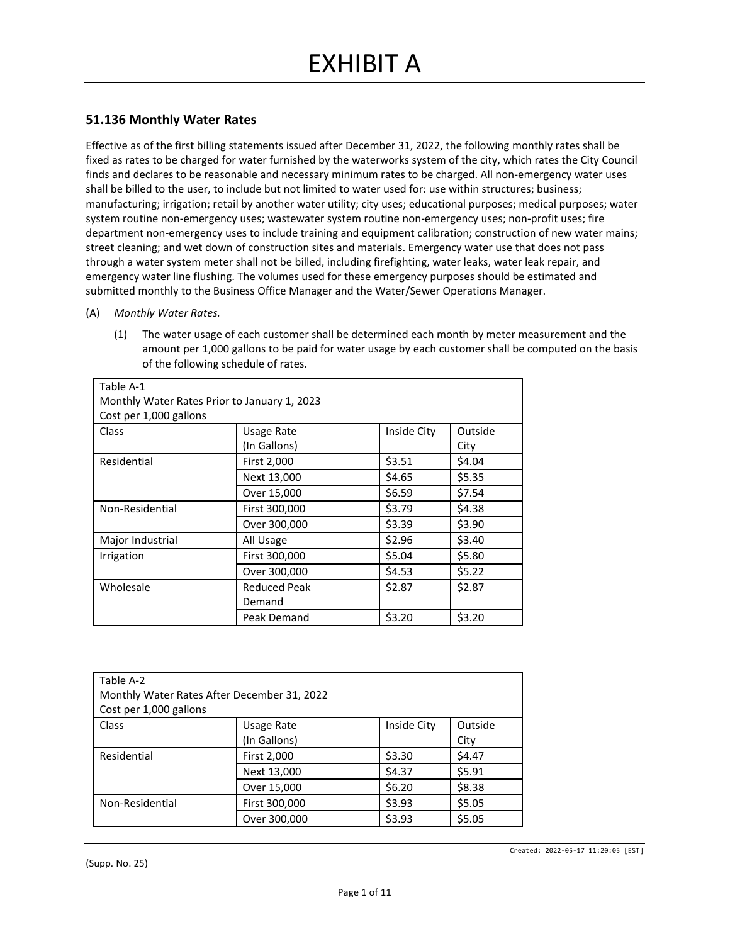### **51.136 Monthly Water Rates**

Effective as of the first billing statements issued after December 31, 2022, the following monthly rates shall be fixed as rates to be charged for water furnished by the waterworks system of the city, which rates the City Council finds and declares to be reasonable and necessary minimum rates to be charged. All non-emergency water uses shall be billed to the user, to include but not limited to water used for: use within structures; business; manufacturing; irrigation; retail by another water utility; city uses; educational purposes; medical purposes; water system routine non-emergency uses; wastewater system routine non-emergency uses; non-profit uses; fire department non-emergency uses to include training and equipment calibration; construction of new water mains; street cleaning; and wet down of construction sites and materials. Emergency water use that does not pass through a water system meter shall not be billed, including firefighting, water leaks, water leak repair, and emergency water line flushing. The volumes used for these emergency purposes should be estimated and submitted monthly to the Business Office Manager and the Water/Sewer Operations Manager.

- (A) *Monthly Water Rates.*
	- (1) The water usage of each customer shall be determined each month by meter measurement and the amount per 1,000 gallons to be paid for water usage by each customer shall be computed on the basis of the following schedule of rates.

| Table A-1                                    |                     |             |         |
|----------------------------------------------|---------------------|-------------|---------|
| Monthly Water Rates Prior to January 1, 2023 |                     |             |         |
| Cost per 1,000 gallons                       |                     |             |         |
| Class                                        | <b>Usage Rate</b>   | Inside City | Outside |
|                                              | (In Gallons)        |             | City    |
| Residential                                  | First 2,000         | \$3.51      | \$4.04  |
|                                              | Next 13,000         | \$4.65      | \$5.35  |
|                                              | Over 15,000         | \$6.59      | \$7.54  |
| Non-Residential                              | First 300,000       | \$3.79      | \$4.38  |
|                                              | Over 300,000        | \$3.39      | \$3.90  |
| Major Industrial                             | All Usage           | \$2.96      | \$3.40  |
| Irrigation                                   | First 300,000       | \$5.04      | \$5.80  |
|                                              | Over 300,000        | \$4.53      | \$5.22  |
| Wholesale                                    | <b>Reduced Peak</b> | \$2.87      | \$2.87  |
|                                              | Demand              |             |         |
|                                              | Peak Demand         | \$3.20      | \$3.20  |

| Table A-2<br>Monthly Water Rates After December 31, 2022<br>Cost per 1,000 gallons |                            |             |                 |  |
|------------------------------------------------------------------------------------|----------------------------|-------------|-----------------|--|
| Class                                                                              | Usage Rate<br>(In Gallons) | Inside City | Outside<br>City |  |
| Residential                                                                        | First 2,000                | \$3.30      | \$4.47          |  |
|                                                                                    | Next 13,000                | \$4.37      | \$5.91          |  |
|                                                                                    | Over 15,000                | \$6.20      | \$8.38          |  |
| Non-Residential                                                                    | First 300,000              | \$3.93      | \$5.05          |  |
|                                                                                    | Over 300,000               | \$3.93      | \$5.05          |  |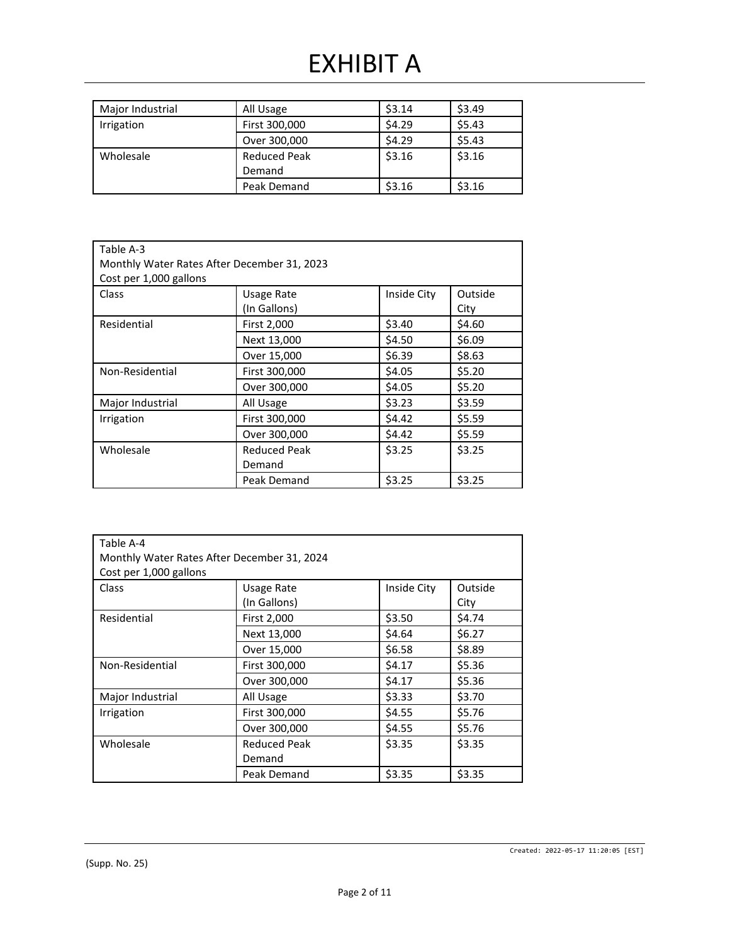## EXHIBIT A

| Major Industrial | All Usage                     | \$3.14 | \$3.49 |
|------------------|-------------------------------|--------|--------|
| Irrigation       | First 300,000                 | \$4.29 | \$5.43 |
|                  | Over 300,000                  | \$4.29 | \$5.43 |
| Wholesale        | <b>Reduced Peak</b><br>Demand | \$3.16 | \$3.16 |
|                  | Peak Demand                   | \$3.16 | \$3.16 |

| Table A-3<br>Monthly Water Rates After December 31, 2023<br>Cost per 1,000 gallons |                                   |             |                 |  |
|------------------------------------------------------------------------------------|-----------------------------------|-------------|-----------------|--|
| Class                                                                              | <b>Usage Rate</b><br>(In Gallons) | Inside City | Outside<br>City |  |
| Residential                                                                        | First 2,000                       | \$3.40      | \$4.60          |  |
|                                                                                    | Next 13,000                       | \$4.50      | \$6.09          |  |
|                                                                                    | Over 15,000                       | \$6.39      | \$8.63          |  |
| Non-Residential                                                                    | First 300,000                     | \$4.05      | \$5.20          |  |
|                                                                                    | Over 300,000                      | \$4.05      | \$5.20          |  |
| Major Industrial                                                                   | All Usage                         | \$3.23      | \$3.59          |  |
| <b>Irrigation</b>                                                                  | First 300,000                     | \$4.42      | \$5.59          |  |
|                                                                                    | Over 300,000                      | \$4.42      | \$5.59          |  |
| Wholesale                                                                          | <b>Reduced Peak</b><br>Demand     | \$3.25      | \$3.25          |  |
|                                                                                    | Peak Demand                       | \$3.25      | \$3.25          |  |

| Table A-4                                   |                     |             |         |
|---------------------------------------------|---------------------|-------------|---------|
| Monthly Water Rates After December 31, 2024 |                     |             |         |
| Cost per 1,000 gallons                      |                     |             |         |
| Class                                       | <b>Usage Rate</b>   | Inside City | Outside |
|                                             | (In Gallons)        |             | City    |
| Residential                                 | First 2,000         | \$3.50      | \$4.74  |
|                                             | Next 13,000         | \$4.64      | \$6.27  |
|                                             | Over 15,000         | \$6.58      | \$8.89  |
| Non-Residential                             | First 300,000       | \$4.17      | \$5.36  |
|                                             | Over 300,000        | \$4.17      | \$5.36  |
| Major Industrial                            | All Usage           | \$3.33      | \$3.70  |
| Irrigation                                  | First 300,000       | \$4.55      | \$5.76  |
|                                             | Over 300,000        | \$4.55      | \$5.76  |
| Wholesale                                   | <b>Reduced Peak</b> | \$3.35      | \$3.35  |
|                                             | Demand              |             |         |
|                                             | Peak Demand         | \$3.35      | \$3.35  |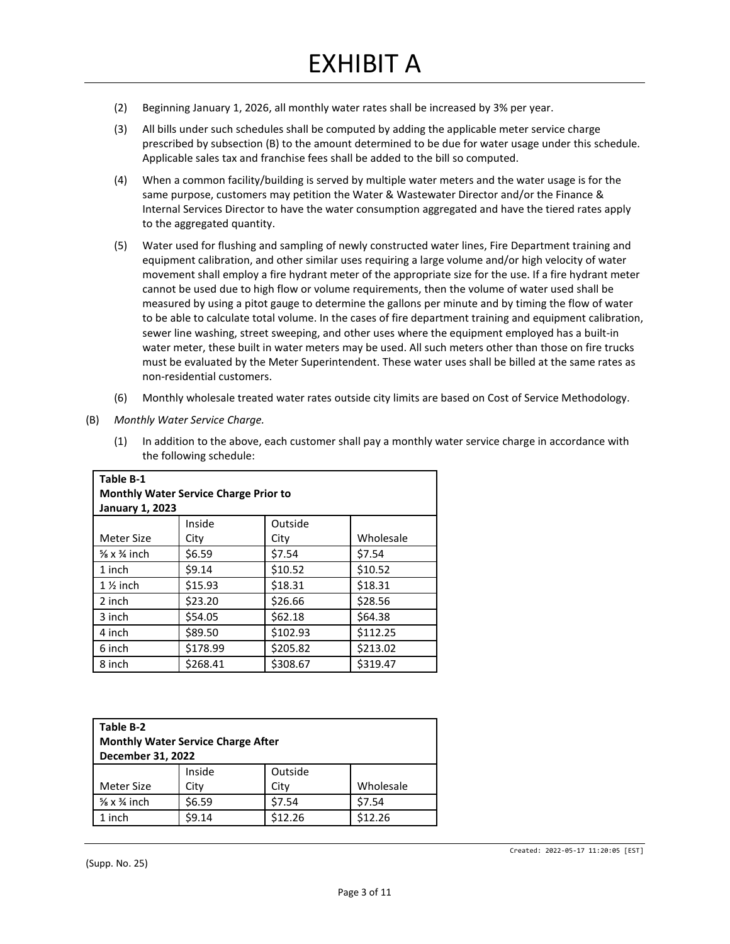- (2) Beginning January 1, 2026, all monthly water rates shall be increased by 3% per year.
- (3) All bills under such schedules shall be computed by adding the applicable meter service charge prescribed by subsection (B) to the amount determined to be due for water usage under this schedule. Applicable sales tax and franchise fees shall be added to the bill so computed.
- (4) When a common facility/building is served by multiple water meters and the water usage is for the same purpose, customers may petition the Water & Wastewater Director and/or the Finance & Internal Services Director to have the water consumption aggregated and have the tiered rates apply to the aggregated quantity.
- (5) Water used for flushing and sampling of newly constructed water lines, Fire Department training and equipment calibration, and other similar uses requiring a large volume and/or high velocity of water movement shall employ a fire hydrant meter of the appropriate size for the use. If a fire hydrant meter cannot be used due to high flow or volume requirements, then the volume of water used shall be measured by using a pitot gauge to determine the gallons per minute and by timing the flow of water to be able to calculate total volume. In the cases of fire department training and equipment calibration, sewer line washing, street sweeping, and other uses where the equipment employed has a built-in water meter, these built in water meters may be used. All such meters other than those on fire trucks must be evaluated by the Meter Superintendent. These water uses shall be billed at the same rates as non-residential customers.
- (6) Monthly wholesale treated water rates outside city limits are based on Cost of Service Methodology.
- (B) *Monthly Water Service Charge.*
	- (1) In addition to the above, each customer shall pay a monthly water service charge in accordance with the following schedule:

| Table B-1<br><b>Monthly Water Service Charge Prior to</b> |          |          |           |
|-----------------------------------------------------------|----------|----------|-----------|
| <b>January 1, 2023</b>                                    |          |          |           |
|                                                           | Inside   | Outside  |           |
| Meter Size                                                | City     | City     | Wholesale |
| $\frac{5}{8}$ x $\frac{3}{4}$ inch                        | \$6.59   | \$7.54   | \$7.54    |
| 1 inch                                                    | \$9.14   | \$10.52  | \$10.52   |
| $1\frac{1}{2}$ inch                                       | \$15.93  | \$18.31  | \$18.31   |
| 2 inch                                                    | \$23.20  | \$26.66  | \$28.56   |
| 3 inch                                                    | \$54.05  | \$62.18  | \$64.38   |
| 4 inch                                                    | \$89.50  | \$102.93 | \$112.25  |
| 6 inch                                                    | \$178.99 | \$205.82 | \$213.02  |
| 8 inch                                                    | \$268.41 | \$308.67 | \$319.47  |

| Table B-2<br><b>Monthly Water Service Charge After</b><br>December 31, 2022 |        |         |           |
|-----------------------------------------------------------------------------|--------|---------|-----------|
|                                                                             | Inside | Outside |           |
| Meter Size                                                                  | City   | City    | Wholesale |
| $\frac{5}{8}$ x $\frac{3}{4}$ inch                                          | \$6.59 | \$7.54  | \$7.54    |
| 1 inch                                                                      | \$9.14 | \$12.26 | \$12.26   |

Created: 2022-05-17 11:20:05 [EST]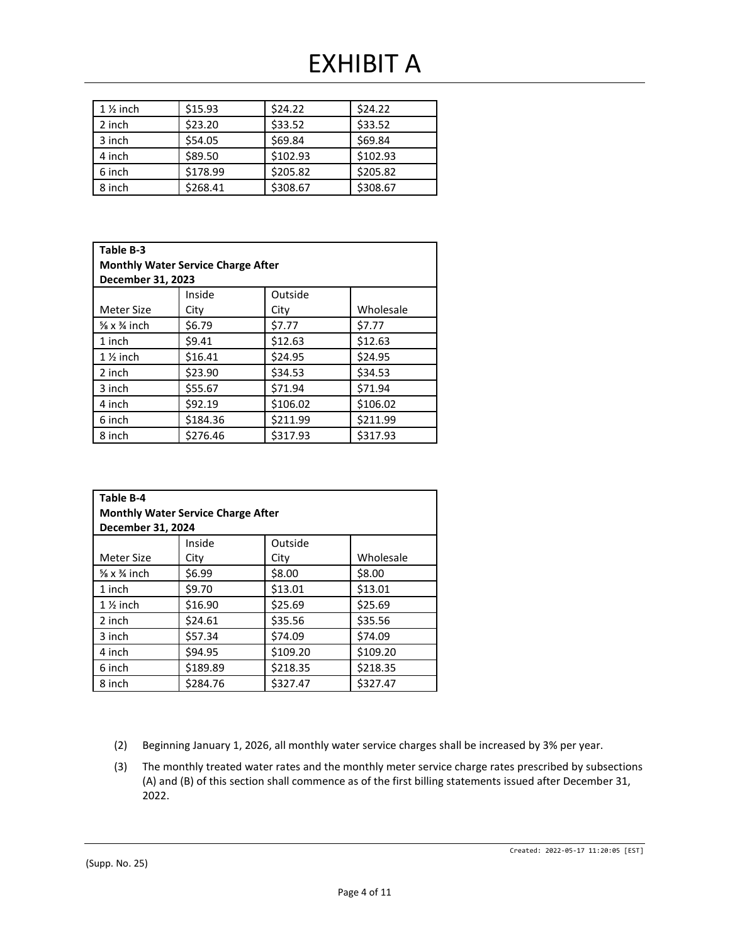## EXHIBIT A

| $1\%$ inch | \$15.93  | \$24.22  | \$24.22  |
|------------|----------|----------|----------|
| 2 inch     | \$23.20  | \$33.52  | \$33.52  |
| 3 inch     | \$54.05  | \$69.84  | \$69.84  |
| 4 inch     | \$89.50  | \$102.93 | \$102.93 |
| 6 inch     | \$178.99 | \$205.82 | \$205.82 |
| 8 inch     | \$268.41 | \$308.67 | \$308.67 |

| Table B-3<br><b>Monthly Water Service Charge After</b><br>December 31, 2023 |          |          |           |
|-----------------------------------------------------------------------------|----------|----------|-----------|
|                                                                             | Inside   | Outside  |           |
| Meter Size                                                                  | City     | City     | Wholesale |
| $\frac{5}{8}$ x $\frac{3}{4}$ inch                                          | \$6.79   | \$7.77   | \$7.77    |
| 1 inch                                                                      | \$9.41   | \$12.63  | \$12.63   |
| $1\frac{1}{2}$ inch                                                         | \$16.41  | \$24.95  | \$24.95   |
| 2 inch                                                                      | \$23.90  | \$34.53  | \$34.53   |
| 3 inch                                                                      | \$55.67  | \$71.94  | \$71.94   |
| 4 inch                                                                      | \$92.19  | \$106.02 | \$106.02  |
| 6 inch                                                                      | \$184.36 | \$211.99 | \$211.99  |
| 8 inch                                                                      | \$276.46 | \$317.93 | \$317.93  |

| Table B-4<br><b>Monthly Water Service Charge After</b><br>December 31, 2024 |          |          |           |
|-----------------------------------------------------------------------------|----------|----------|-----------|
|                                                                             | Inside   | Outside  |           |
| Meter Size                                                                  | City     | City     | Wholesale |
| $\frac{5}{8}$ x $\frac{3}{4}$ inch                                          | \$6.99   | \$8.00   | \$8.00    |
| 1 inch                                                                      | \$9.70   | \$13.01  | \$13.01   |
| $1\frac{1}{2}$ inch                                                         | \$16.90  | \$25.69  | \$25.69   |
| 2 inch                                                                      | \$24.61  | \$35.56  | \$35.56   |
| 3 inch                                                                      | \$57.34  | \$74.09  | \$74.09   |
| 4 inch                                                                      | \$94.95  | \$109.20 | \$109.20  |
| 6 inch                                                                      | \$189.89 | \$218.35 | \$218.35  |
| 8 inch                                                                      | \$284.76 | \$327.47 | \$327.47  |

- (2) Beginning January 1, 2026, all monthly water service charges shall be increased by 3% per year.
- (3) The monthly treated water rates and the monthly meter service charge rates prescribed by subsections (A) and (B) of this section shall commence as of the first billing statements issued after December 31, 2022.

(Supp. No. 25)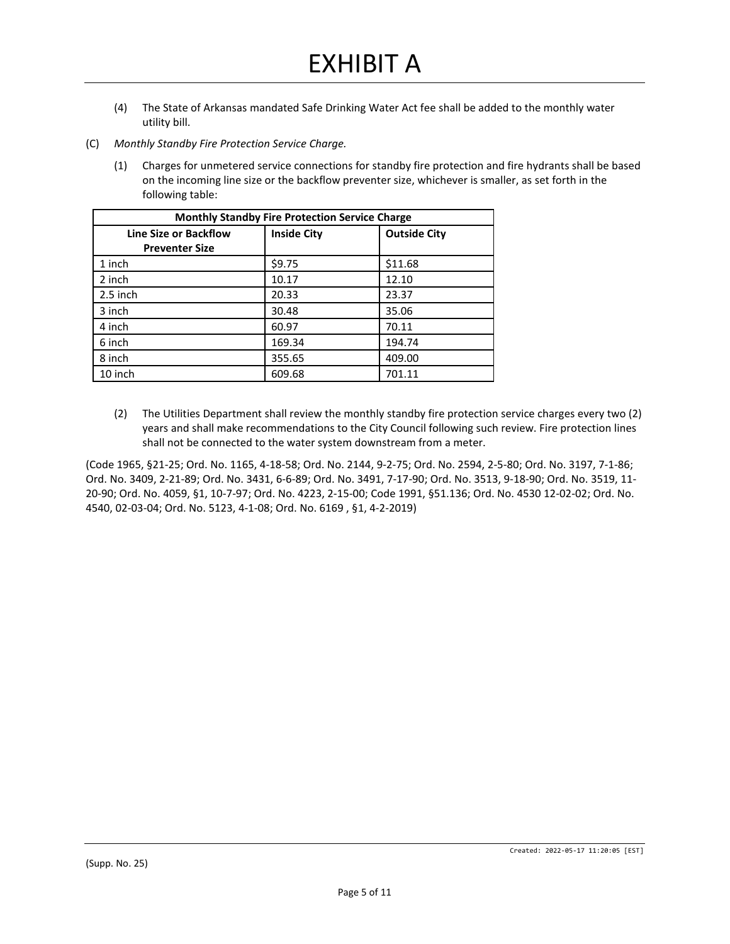- (4) The State of Arkansas mandated Safe Drinking Water Act fee shall be added to the monthly water utility bill.
- (C) *Monthly Standby Fire Protection Service Charge.*
	- (1) Charges for unmetered service connections for standby fire protection and fire hydrants shall be based on the incoming line size or the backflow preventer size, whichever is smaller, as set forth in the following table:

| <b>Monthly Standby Fire Protection Service Charge</b> |                    |                     |  |
|-------------------------------------------------------|--------------------|---------------------|--|
| <b>Line Size or Backflow</b><br><b>Preventer Size</b> | <b>Inside City</b> | <b>Outside City</b> |  |
| 1 inch                                                | \$9.75             | \$11.68             |  |
| 2 inch                                                | 10.17              | 12.10               |  |
| $2.5$ inch                                            | 20.33              | 23.37               |  |
| 3 inch                                                | 30.48              | 35.06               |  |
| 4 inch                                                | 60.97              | 70.11               |  |
| 6 inch                                                | 169.34             | 194.74              |  |
| 8 inch                                                | 355.65             | 409.00              |  |
| 10 inch                                               | 609.68             | 701.11              |  |

(2) The Utilities Department shall review the monthly standby fire protection service charges every two (2) years and shall make recommendations to the City Council following such review. Fire protection lines shall not be connected to the water system downstream from a meter.

(Code 1965, §21-25; Ord. No. 1165, 4-18-58; Ord. No. 2144, 9-2-75; Ord. No. 2594, 2-5-80; Ord. No. 3197, 7-1-86; Ord. No. 3409, 2-21-89; Ord. No. 3431, 6-6-89; Ord. No. 3491, 7-17-90; Ord. No. 3513, 9-18-90; Ord. No. 3519, 11- 20-90; Ord. No. 4059, §1, 10-7-97; Ord. No. 4223, 2-15-00; Code 1991, §51.136; Ord. No. 4530 12-02-02; Ord. No. 4540, 02-03-04; Ord. No. 5123, 4-1-08; Ord. No. 6169 , §1, 4-2-2019)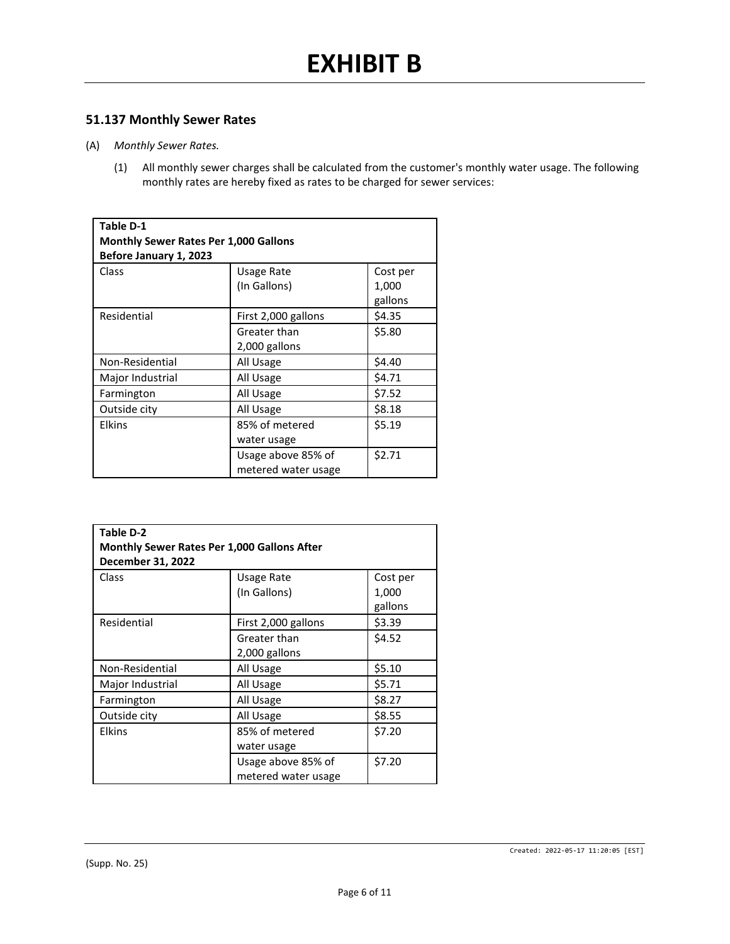### **51.137 Monthly Sewer Rates**

- (A) *Monthly Sewer Rates.*
	- (1) All monthly sewer charges shall be calculated from the customer's monthly water usage. The following monthly rates are hereby fixed as rates to be charged for sewer services:

| <b>Table D-1</b>                             |                     |          |  |  |
|----------------------------------------------|---------------------|----------|--|--|
| <b>Monthly Sewer Rates Per 1,000 Gallons</b> |                     |          |  |  |
| Before January 1, 2023                       |                     |          |  |  |
| Class                                        | Usage Rate          | Cost per |  |  |
|                                              | (In Gallons)        | 1,000    |  |  |
|                                              |                     | gallons  |  |  |
| Residential                                  | First 2,000 gallons | \$4.35   |  |  |
|                                              | Greater than        | \$5.80   |  |  |
|                                              | 2,000 gallons       |          |  |  |
| Non-Residential                              | All Usage           | \$4.40   |  |  |
| Major Industrial                             | All Usage           | \$4.71   |  |  |
| Farmington                                   | All Usage           | \$7.52   |  |  |
| Outside city                                 | All Usage           | \$8.18   |  |  |
| <b>Elkins</b>                                | 85% of metered      | \$5.19   |  |  |
|                                              | water usage         |          |  |  |
|                                              | Usage above 85% of  | \$2.71   |  |  |
|                                              | metered water usage |          |  |  |

| Table D-2                                   |                     |          |  |
|---------------------------------------------|---------------------|----------|--|
| Monthly Sewer Rates Per 1,000 Gallons After |                     |          |  |
| December 31, 2022                           |                     |          |  |
| Class                                       | Usage Rate          | Cost per |  |
|                                             | (In Gallons)        | 1,000    |  |
|                                             |                     | gallons  |  |
| Residential                                 | First 2,000 gallons | \$3.39   |  |
|                                             | Greater than        | \$4.52   |  |
|                                             | 2,000 gallons       |          |  |
| Non-Residential                             | All Usage           | \$5.10   |  |
| Major Industrial                            | All Usage           | \$5.71   |  |
| Farmington                                  | All Usage           | \$8.27   |  |
| Outside city                                | All Usage           | \$8.55   |  |
| <b>Elkins</b>                               | 85% of metered      | \$7.20   |  |
|                                             | water usage         |          |  |
|                                             | Usage above 85% of  | \$7.20   |  |
|                                             | metered water usage |          |  |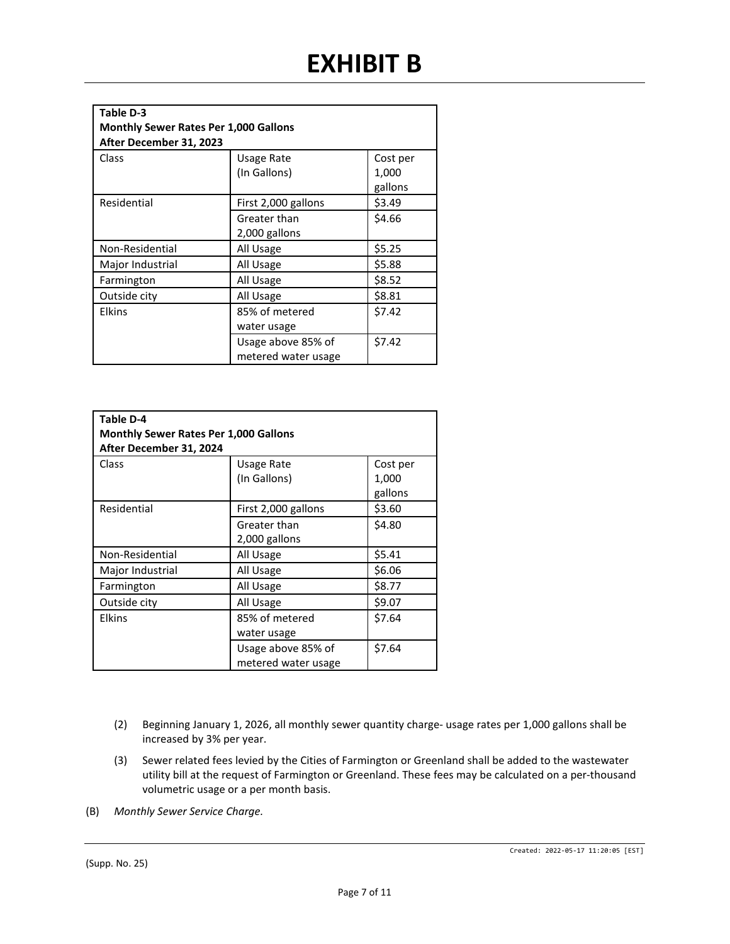| Table D-3                                    |                     |          |  |
|----------------------------------------------|---------------------|----------|--|
| <b>Monthly Sewer Rates Per 1,000 Gallons</b> |                     |          |  |
| After December 31, 2023                      |                     |          |  |
| Class                                        | Usage Rate          | Cost per |  |
|                                              | (In Gallons)        | 1,000    |  |
|                                              |                     | gallons  |  |
| Residential                                  | First 2,000 gallons | \$3.49   |  |
|                                              | Greater than        | \$4.66   |  |
|                                              | 2,000 gallons       |          |  |
| Non-Residential                              | All Usage           | \$5.25   |  |
| Major Industrial                             | All Usage           | \$5.88   |  |
| Farmington                                   | All Usage           | \$8.52   |  |
| Outside city                                 | All Usage           | \$8.81   |  |
| <b>Elkins</b>                                | 85% of metered      | \$7.42   |  |
|                                              | water usage         |          |  |
|                                              | Usage above 85% of  | \$7.42   |  |
|                                              | metered water usage |          |  |

| Table D-4<br><b>Monthly Sewer Rates Per 1,000 Gallons</b><br>After December 31, 2024 |                                           |                              |  |
|--------------------------------------------------------------------------------------|-------------------------------------------|------------------------------|--|
| Class                                                                                | Usage Rate<br>(In Gallons)                | Cost per<br>1,000<br>gallons |  |
| Residential                                                                          | First 2,000 gallons                       | \$3.60                       |  |
|                                                                                      | Greater than<br>2,000 gallons             | \$4.80                       |  |
| Non-Residential                                                                      | All Usage                                 | \$5.41                       |  |
| Major Industrial                                                                     | All Usage                                 | \$6.06                       |  |
| Farmington                                                                           | All Usage                                 | \$8.77                       |  |
| Outside city                                                                         | All Usage                                 | \$9.07                       |  |
| Elkins                                                                               | 85% of metered<br>water usage             | \$7.64                       |  |
|                                                                                      | Usage above 85% of<br>metered water usage | \$7.64                       |  |

- (2) Beginning January 1, 2026, all monthly sewer quantity charge- usage rates per 1,000 gallons shall be increased by 3% per year.
- (3) Sewer related fees levied by the Cities of Farmington or Greenland shall be added to the wastewater utility bill at the request of Farmington or Greenland. These fees may be calculated on a per-thousand volumetric usage or a per month basis.
- (B) *Monthly Sewer Service Charge.*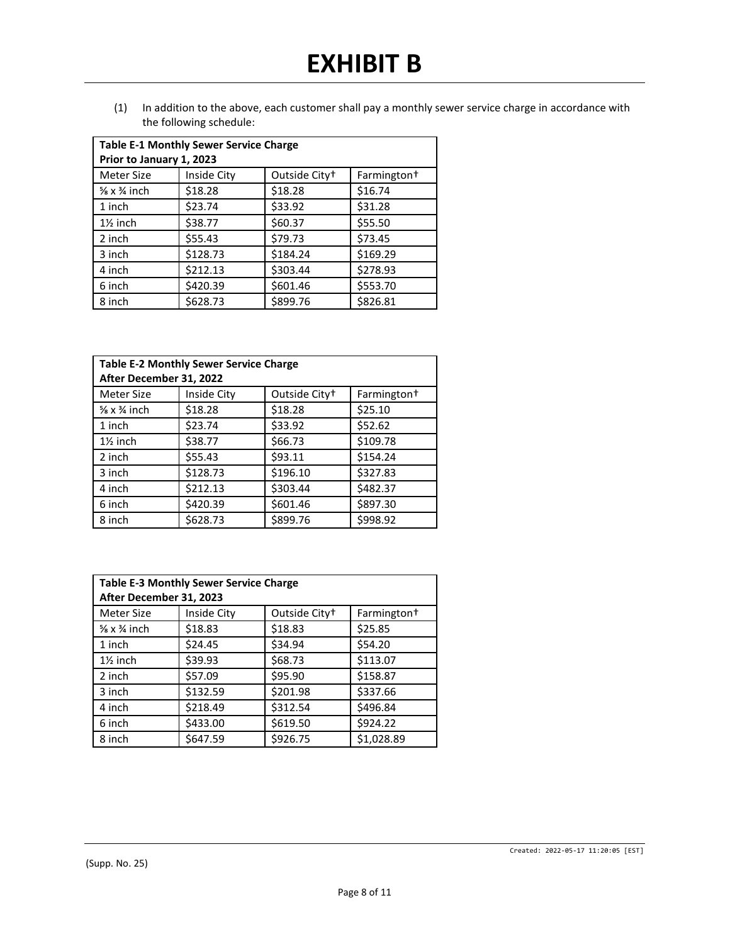(1) In addition to the above, each customer shall pay a monthly sewer service charge in accordance with the following schedule:

| <b>Table E-1 Monthly Sewer Service Charge</b> |             |                           |                         |  |
|-----------------------------------------------|-------------|---------------------------|-------------------------|--|
| Prior to January 1, 2023                      |             |                           |                         |  |
| Meter Size                                    | Inside City | Outside City <sup>+</sup> | Farmington <sup>+</sup> |  |
| $\frac{5}{8}$ x $\frac{3}{4}$ inch            | \$18.28     | \$18.28                   | \$16.74                 |  |
| 1 inch                                        | \$23.74     | \$33.92                   | \$31.28                 |  |
| $1\frac{1}{2}$ inch                           | \$38.77     | \$60.37                   | \$55.50                 |  |
| 2 inch                                        | \$55.43     | \$79.73                   | \$73.45                 |  |
| 3 inch                                        | \$128.73    | \$184.24                  | \$169.29                |  |
| 4 inch                                        | \$212.13    | \$303.44                  | \$278.93                |  |
| 6 inch                                        | \$420.39    | \$601.46                  | \$553.70                |  |
| 8 inch                                        | \$628.73    | \$899.76                  | \$826.81                |  |

| <b>Table E-2 Monthly Sewer Service Charge</b><br>After December 31, 2022 |             |                           |                         |
|--------------------------------------------------------------------------|-------------|---------------------------|-------------------------|
| Meter Size                                                               | Inside City | Outside City <sup>+</sup> | Farmington <sup>+</sup> |
| $\frac{5}{8}$ x $\frac{3}{4}$ inch                                       | \$18.28     | \$18.28                   | \$25.10                 |
| 1 inch                                                                   | \$23.74     | \$33.92                   | \$52.62                 |
| $1\frac{1}{2}$ inch                                                      | \$38.77     | \$66.73                   | \$109.78                |
| 2 inch                                                                   | \$55.43     | \$93.11                   | \$154.24                |
| 3 inch                                                                   | \$128.73    | \$196.10                  | \$327.83                |
| 4 inch                                                                   | \$212.13    | \$303.44                  | \$482.37                |
| 6 inch                                                                   | \$420.39    | \$601.46                  | \$897.30                |
| 8 inch                                                                   | \$628.73    | \$899.76                  | \$998.92                |

| <b>Table E-3 Monthly Sewer Service Charge</b><br>After December 31, 2023 |             |                           |                         |
|--------------------------------------------------------------------------|-------------|---------------------------|-------------------------|
| Meter Size                                                               | Inside City | Outside City <sup>+</sup> | Farmington <sup>+</sup> |
| $\frac{5}{8}$ x $\frac{3}{4}$ inch                                       | \$18.83     | \$18.83                   | \$25.85                 |
| 1 inch                                                                   | \$24.45     | \$34.94                   | \$54.20                 |
| $1\frac{1}{2}$ inch                                                      | \$39.93     | \$68.73                   | \$113.07                |
| 2 inch                                                                   | \$57.09     | \$95.90                   | \$158.87                |
| 3 inch                                                                   | \$132.59    | \$201.98                  | \$337.66                |
| 4 inch                                                                   | \$218.49    | \$312.54                  | \$496.84                |
| 6 inch                                                                   | \$433.00    | \$619.50                  | \$924.22                |
| 8 inch                                                                   | \$647.59    | \$926.75                  | \$1,028.89              |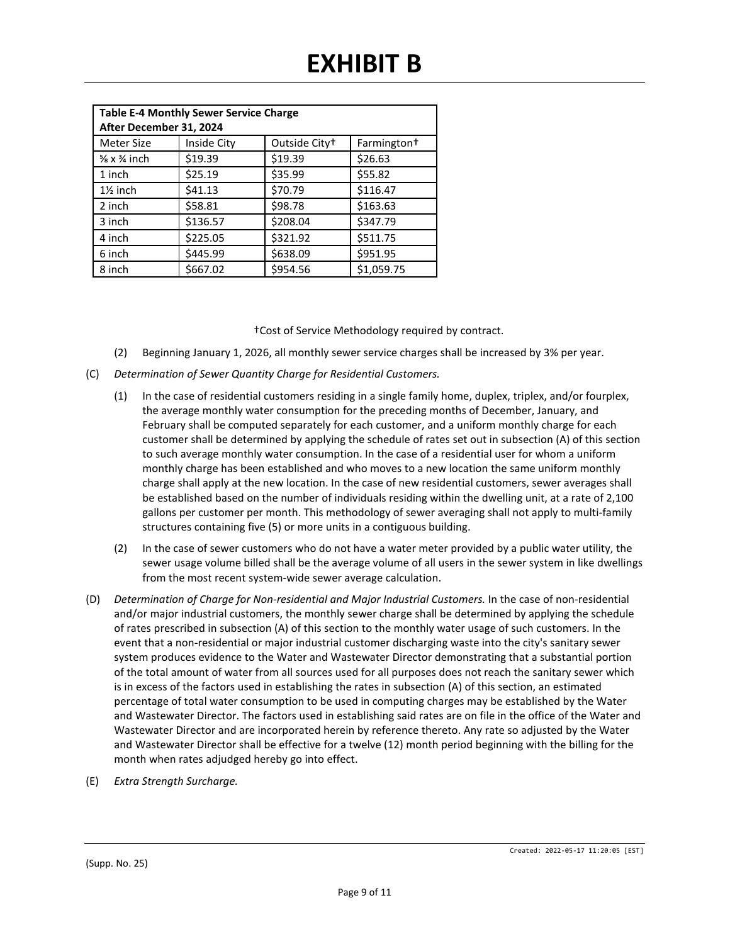| <b>Table E-4 Monthly Sewer Service Charge</b> |             |                           |                         |
|-----------------------------------------------|-------------|---------------------------|-------------------------|
| After December 31, 2024                       |             |                           |                         |
| Meter Size                                    | Inside City | Outside City <sup>+</sup> | Farmington <sup>+</sup> |
| $\frac{5}{8}$ x $\frac{3}{4}$ inch            | \$19.39     | \$19.39                   | \$26.63                 |
| 1 inch                                        | \$25.19     | \$35.99                   | \$55.82                 |
| $1\frac{1}{2}$ inch                           | \$41.13     | \$70.79                   | \$116.47                |
| 2 inch                                        | \$58.81     | \$98.78                   | \$163.63                |
| 3 inch                                        | \$136.57    | \$208.04                  | \$347.79                |
| 4 inch                                        | \$225.05    | \$321.92                  | \$511.75                |
| 6 inch                                        | \$445.99    | \$638.09                  | \$951.95                |
| 8 inch                                        | \$667.02    | \$954.56                  | \$1,059.75              |

†Cost of Service Methodology required by contract.

- (2) Beginning January 1, 2026, all monthly sewer service charges shall be increased by 3% per year.
- (C) *Determination of Sewer Quantity Charge for Residential Customers.*
	- (1) In the case of residential customers residing in a single family home, duplex, triplex, and/or fourplex, the average monthly water consumption for the preceding months of December, January, and February shall be computed separately for each customer, and a uniform monthly charge for each customer shall be determined by applying the schedule of rates set out in subsection (A) of this section to such average monthly water consumption. In the case of a residential user for whom a uniform monthly charge has been established and who moves to a new location the same uniform monthly charge shall apply at the new location. In the case of new residential customers, sewer averages shall be established based on the number of individuals residing within the dwelling unit, at a rate of 2,100 gallons per customer per month. This methodology of sewer averaging shall not apply to multi-family structures containing five (5) or more units in a contiguous building.
	- (2) In the case of sewer customers who do not have a water meter provided by a public water utility, the sewer usage volume billed shall be the average volume of all users in the sewer system in like dwellings from the most recent system-wide sewer average calculation.
- (D) *Determination of Charge for Non-residential and Major Industrial Customers.* In the case of non-residential and/or major industrial customers, the monthly sewer charge shall be determined by applying the schedule of rates prescribed in subsection (A) of this section to the monthly water usage of such customers. In the event that a non-residential or major industrial customer discharging waste into the city's sanitary sewer system produces evidence to the Water and Wastewater Director demonstrating that a substantial portion of the total amount of water from all sources used for all purposes does not reach the sanitary sewer which is in excess of the factors used in establishing the rates in subsection (A) of this section, an estimated percentage of total water consumption to be used in computing charges may be established by the Water and Wastewater Director. The factors used in establishing said rates are on file in the office of the Water and Wastewater Director and are incorporated herein by reference thereto. Any rate so adjusted by the Water and Wastewater Director shall be effective for a twelve (12) month period beginning with the billing for the month when rates adjudged hereby go into effect.
- (E) *Extra Strength Surcharge.*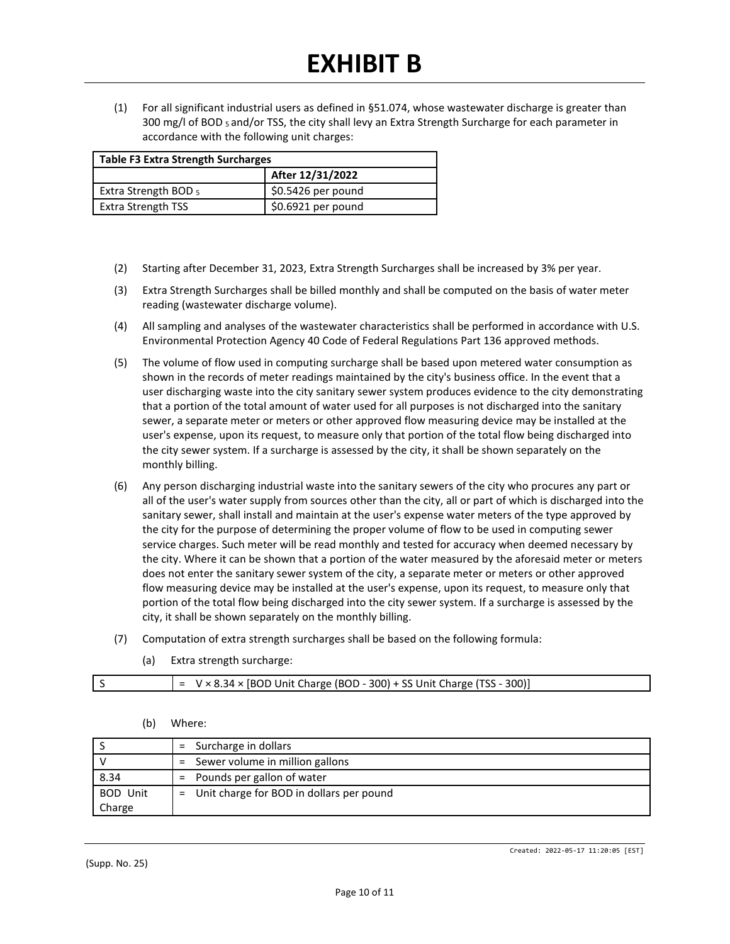(1) For all significant industrial users as defined in §51.074, whose wastewater discharge is greater than 300 mg/l of BOD 5 and/or TSS, the city shall levy an Extra Strength Surcharge for each parameter in accordance with the following unit charges:

| <b>Table F3 Extra Strength Surcharges</b> |                     |
|-------------------------------------------|---------------------|
|                                           | After 12/31/2022    |
| Extra Strength BOD 5                      | $$0.5426$ per pound |
| <b>Extra Strength TSS</b>                 | $$0.6921$ per pound |

- (2) Starting after December 31, 2023, Extra Strength Surcharges shall be increased by 3% per year.
- (3) Extra Strength Surcharges shall be billed monthly and shall be computed on the basis of water meter reading (wastewater discharge volume).
- (4) All sampling and analyses of the wastewater characteristics shall be performed in accordance with U.S. Environmental Protection Agency 40 Code of Federal Regulations Part 136 approved methods.
- (5) The volume of flow used in computing surcharge shall be based upon metered water consumption as shown in the records of meter readings maintained by the city's business office. In the event that a user discharging waste into the city sanitary sewer system produces evidence to the city demonstrating that a portion of the total amount of water used for all purposes is not discharged into the sanitary sewer, a separate meter or meters or other approved flow measuring device may be installed at the user's expense, upon its request, to measure only that portion of the total flow being discharged into the city sewer system. If a surcharge is assessed by the city, it shall be shown separately on the monthly billing.
- (6) Any person discharging industrial waste into the sanitary sewers of the city who procures any part or all of the user's water supply from sources other than the city, all or part of which is discharged into the sanitary sewer, shall install and maintain at the user's expense water meters of the type approved by the city for the purpose of determining the proper volume of flow to be used in computing sewer service charges. Such meter will be read monthly and tested for accuracy when deemed necessary by the city. Where it can be shown that a portion of the water measured by the aforesaid meter or meters does not enter the sanitary sewer system of the city, a separate meter or meters or other approved flow measuring device may be installed at the user's expense, upon its request, to measure only that portion of the total flow being discharged into the city sewer system. If a surcharge is assessed by the city, it shall be shown separately on the monthly billing.
- (7) Computation of extra strength surcharges shall be based on the following formula:
	- (a) Extra strength surcharge:

|  |  |  |  | $= V \times 8.34 \times [BOD Unit Charge (BOD - 300) + SS Unit Charge (TSS - 300)]$ |
|--|--|--|--|-------------------------------------------------------------------------------------|
|--|--|--|--|-------------------------------------------------------------------------------------|

#### (b) Where:

|                 | $=$ Surcharge in dollars                   |
|-----------------|--------------------------------------------|
|                 | Sewer volume in million gallons<br>$=$     |
| 8.34            | Pounds per gallon of water<br>$=$          |
| <b>BOD Unit</b> | = Unit charge for BOD in dollars per pound |
| Charge          |                                            |

(Supp. No. 25)